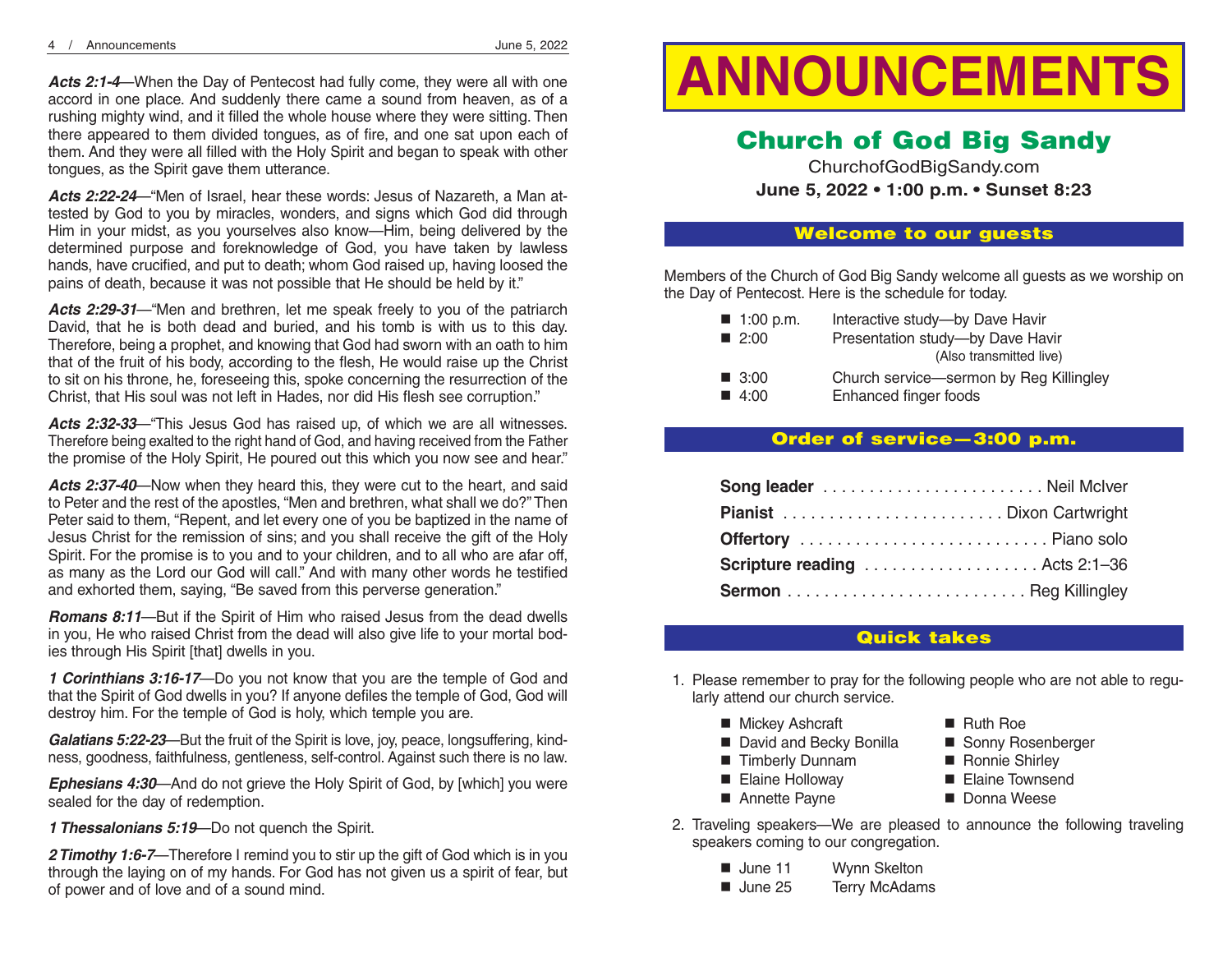Acts 2:1-4—When the Day of Pentecost had fully come, they were all with one accord in one place. And suddenly there came a sound from heaven, as of a rushing mighty wind, and it filled the whole house where they were sitting. Then there appeared to them divided tongues, as of fire, and one sat upon each of them. And they were all filled with the Holy Spirit and began to speak with other tongues, as the Spirit gave them utterance.

*Acts 2:22-24*—"Men of Israel, hear these words: Jesus of Nazareth, a Man attested by God to you by miracles, wonders, and signs which God did through Him in your midst, as you yourselves also know—Him, being delivered by the determined purpose and foreknowledge of God, you have taken by lawless hands, have crucified, and put to death; whom God raised up, having loosed the pains of death, because it was not possible that He should be held by it."

*Acts 2:29-31*—"Men and brethren, let me speak freely to you of the patriarch David, that he is both dead and buried, and his tomb is with us to this day. Therefore, being a prophet, and knowing that God had sworn with an oath to him that of the fruit of his body, according to the flesh, He would raise up the Christ to sit on his throne, he, foreseeing this, spoke concerning the resurrection of the Christ, that His soul was not left in Hades, nor did His flesh see corruption."

*Acts 2:32-33*—"This Jesus God has raised up, of which we are all witnesses. Therefore being exalted to the right hand of God, and having received from the Father the promise of the Holy Spirit, He poured out this which you now see and hear."

*Acts 2:37-40*—Now when they heard this, they were cut to the heart, and said to Peter and the rest of the apostles, "Men and brethren, what shall we do?"Then Peter said to them, "Repent, and let every one of you be baptized in the name of Jesus Christ for the remission of sins; and you shall receive the gift of the Holy Spirit. For the promise is to you and to your children, and to all who are afar off, as many as the Lord our God will call." And with many other words he testified and exhorted them, saying, "Be saved from this perverse generation."

*Romans 8:11*—But if the Spirit of Him who raised Jesus from the dead dwells in you, He who raised Christ from the dead will also give life to your mortal bodies through His Spirit [that] dwells in you.

*1 Corinthians 3:16-17*—Do you not know that you are the temple of God and that the Spirit of God dwells in you? If anyone defiles the temple of God, God will destroy him. For the temple of God is holy, which temple you are.

*Galatians 5:22-23*—But the fruit of the Spirit is love, joy, peace, longsuffering, kindness, goodness, faithfulness, gentleness, self-control. Against such there is no law.

*Ephesians 4:30*—And do not grieve the Holy Spirit of God, by [which] you were sealed for the day of redemption.

*1 Thessalonians 5:19*—Do not quench the Spirit.

*2 Timothy 1:6-7*—Therefore I remind you to stir up the gift of God which is in you through the laying on of my hands. For God has not given us a spirit of fear, but of power and of love and of a sound mind.

# —When the Day of Pentecost had fully come, they were all with one **ANNOUNCEMENTS**

# Church of God Big Sandy

ChurchofGodBigSandy.com **June 5, 2022 • 1:00 p.m. • Sunset 8:23**

#### Welcome to our guests

Members of the Church of God Big Sandy welcome all guests as we worship on the Day of Pentecost. Here is the schedule for today.

| $\blacksquare$ 1:00 p.m. | Interactive study-by Dave Havir         |
|--------------------------|-----------------------------------------|
| $\blacksquare$ 2:00      | Presentation study-by Dave Havir        |
|                          | (Also transmitted live)                 |
| $\blacksquare$ 3:00      | Church service—sermon by Reg Killingley |
| 4:00                     | Enhanced finger foods                   |

# Order of service—3:00 p.m.

| Offertory  Piano solo                |  |
|--------------------------------------|--|
| <b>Scripture reading</b> Acts 2:1-36 |  |
|                                      |  |

# Quick takes

- 1. Please remember to pray for the following people who are not able to regularly attend our church service.
	- Mickey Ashcraft Ruth Roe
	- David and Becky Bonilla Sonny Rosenberger
	- Timberly Dunnam Ronnie Shirley
	- Elaine Holloway Elaine Townsend
	- Annette Payne Donna Weese
- 2. Traveling speakers—We are pleased to announce the following traveling speakers coming to our congregation.
	- June 11 Wynn Skelton
	- June 25 Terry McAdams
- 
- 
- 
-